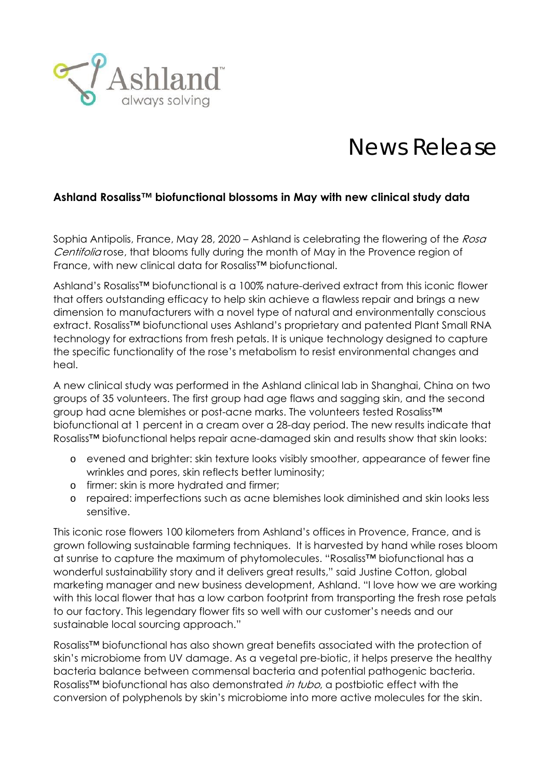

## News Release

## **Ashland Rosaliss™ biofunctional blossoms in May with new clinical study data**

Sophia Antipolis, France, May 28, 2020 – Ashland is celebrating the flowering of the Rosa Centifolia rose, that blooms fully during the month of May in the Provence region of France, with new clinical data for Rosaliss™ biofunctional.

Ashland's Rosaliss™ biofunctional is a 100% nature-derived extract from this iconic flower that offers outstanding efficacy to help skin achieve a flawless repair and brings a new dimension to manufacturers with a novel type of natural and environmentally conscious extract. Rosaliss™ biofunctional uses Ashland's proprietary and patented Plant Small RNA technology for extractions from fresh petals. It is unique technology designed to capture the specific functionality of the rose's metabolism to resist environmental changes and heal.

A new clinical study was performed in the Ashland clinical lab in Shanghai, China on two groups of 35 volunteers. The first group had age flaws and sagging skin, and the second group had acne blemishes or post-acne marks. The volunteers tested Rosaliss™ biofunctional at 1 percent in a cream over a 28-day period. The new results indicate that Rosaliss™ biofunctional helps repair acne-damaged skin and results show that skin looks:

- o evened and brighter: skin texture looks visibly smoother, appearance of fewer fine wrinkles and pores, skin reflects better luminosity;
- o firmer: skin is more hydrated and firmer;
- o repaired: imperfections such as acne blemishes look diminished and skin looks less sensitive.

This iconic rose flowers 100 kilometers from Ashland's offices in Provence, France, and is grown following sustainable farming techniques. It is harvested by hand while roses bloom at sunrise to capture the maximum of phytomolecules. "Rosaliss™ biofunctional has a wonderful sustainability story and it delivers great results," said Justine Cotton, global marketing manager and new business development, Ashland. "I love how we are working with this local flower that has a low carbon footprint from transporting the fresh rose petals to our factory. This legendary flower fits so well with our customer's needs and our sustainable local sourcing approach."

Rosaliss™ biofunctional has also shown great benefits associated with the protection of skin's microbiome from UV damage. As a vegetal pre-biotic, it helps preserve the healthy bacteria balance between commensal bacteria and potential pathogenic bacteria. Rosaliss™ biofunctional has also demonstrated *in tubo*, a postbiotic effect with the conversion of polyphenols by skin's microbiome into more active molecules for the skin.